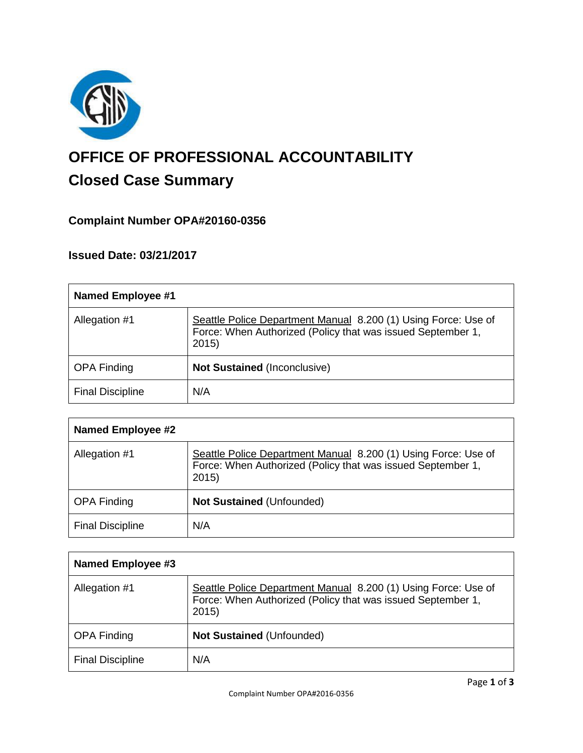

# **OFFICE OF PROFESSIONAL ACCOUNTABILITY Closed Case Summary**

# **Complaint Number OPA#20160-0356**

# **Issued Date: 03/21/2017**

| <b>Named Employee #1</b> |                                                                                                                                       |
|--------------------------|---------------------------------------------------------------------------------------------------------------------------------------|
| Allegation #1            | Seattle Police Department Manual 8.200 (1) Using Force: Use of<br>Force: When Authorized (Policy that was issued September 1,<br>2015 |
| <b>OPA Finding</b>       | <b>Not Sustained (Inconclusive)</b>                                                                                                   |
| <b>Final Discipline</b>  | N/A                                                                                                                                   |

| <b>Named Employee #2</b> |                                                                                                                                       |
|--------------------------|---------------------------------------------------------------------------------------------------------------------------------------|
| Allegation #1            | Seattle Police Department Manual 8.200 (1) Using Force: Use of<br>Force: When Authorized (Policy that was issued September 1,<br>2015 |
| <b>OPA Finding</b>       | <b>Not Sustained (Unfounded)</b>                                                                                                      |
| <b>Final Discipline</b>  | N/A                                                                                                                                   |

| <b>Named Employee #3</b> |                                                                                                                                       |
|--------------------------|---------------------------------------------------------------------------------------------------------------------------------------|
| Allegation #1            | Seattle Police Department Manual 8.200 (1) Using Force: Use of<br>Force: When Authorized (Policy that was issued September 1,<br>2015 |
| <b>OPA Finding</b>       | Not Sustained (Unfounded)                                                                                                             |
| <b>Final Discipline</b>  | N/A                                                                                                                                   |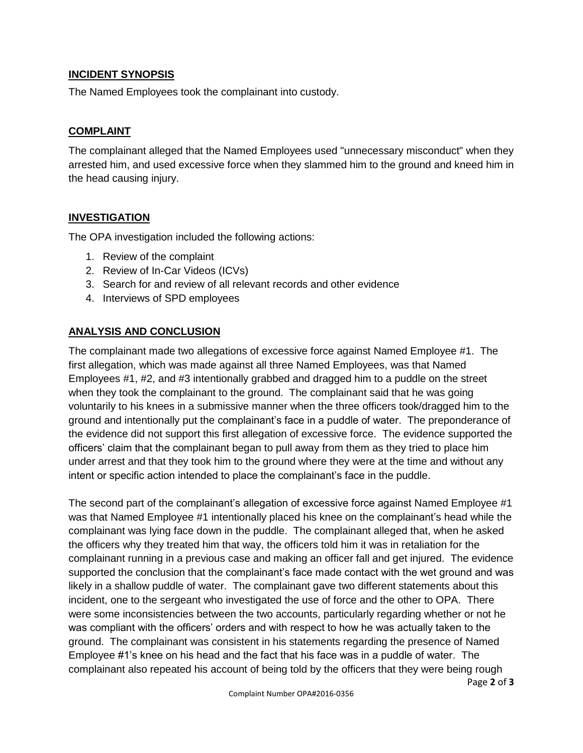# **INCIDENT SYNOPSIS**

The Named Employees took the complainant into custody.

#### **COMPLAINT**

The complainant alleged that the Named Employees used "unnecessary misconduct" when they arrested him, and used excessive force when they slammed him to the ground and kneed him in the head causing injury.

# **INVESTIGATION**

The OPA investigation included the following actions:

- 1. Review of the complaint
- 2. Review of In-Car Videos (ICVs)
- 3. Search for and review of all relevant records and other evidence
- 4. Interviews of SPD employees

# **ANALYSIS AND CONCLUSION**

The complainant made two allegations of excessive force against Named Employee #1. The first allegation, which was made against all three Named Employees, was that Named Employees #1, #2, and #3 intentionally grabbed and dragged him to a puddle on the street when they took the complainant to the ground. The complainant said that he was going voluntarily to his knees in a submissive manner when the three officers took/dragged him to the ground and intentionally put the complainant's face in a puddle of water. The preponderance of the evidence did not support this first allegation of excessive force. The evidence supported the officers' claim that the complainant began to pull away from them as they tried to place him under arrest and that they took him to the ground where they were at the time and without any intent or specific action intended to place the complainant's face in the puddle.

The second part of the complainant's allegation of excessive force against Named Employee #1 was that Named Employee #1 intentionally placed his knee on the complainant's head while the complainant was lying face down in the puddle. The complainant alleged that, when he asked the officers why they treated him that way, the officers told him it was in retaliation for the complainant running in a previous case and making an officer fall and get injured. The evidence supported the conclusion that the complainant's face made contact with the wet ground and was likely in a shallow puddle of water. The complainant gave two different statements about this incident, one to the sergeant who investigated the use of force and the other to OPA. There were some inconsistencies between the two accounts, particularly regarding whether or not he was compliant with the officers' orders and with respect to how he was actually taken to the ground. The complainant was consistent in his statements regarding the presence of Named Employee #1's knee on his head and the fact that his face was in a puddle of water. The complainant also repeated his account of being told by the officers that they were being rough